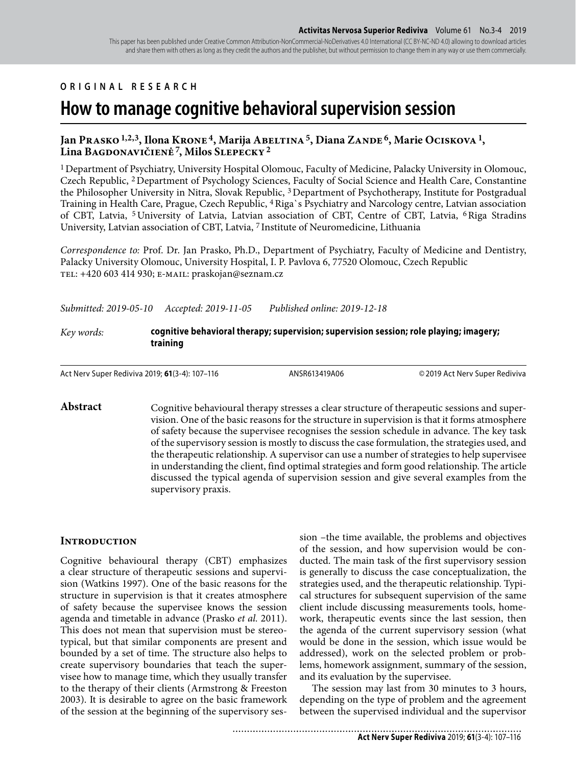This paper has been published under Creative Common Attribution-NonCommercial-NoDerivatives 4.0 International (CC BY-NC-ND 4.0) allowing to download articles and share them with others as long as they credit the authors and the publisher, but without permission to change them in any way or use them commercially.

## **ORIGINAL RESEARCH**

# **How to manage cognitive behavioral supervision session**

## Jan Prasko <sup>1,2,3</sup>, Ilona Krone<sup>4</sup>, Marija Abeltina<sup>5</sup>, Diana Zande<sup>6</sup>, Marie Ociskova<sup>1</sup>, **Lina Bagdonavičienė 7, Milos Slepecky 2**

1 Department of Psychiatry, University Hospital Olomouc, Faculty of Medicine, Palacky University in Olomouc, Czech Republic, 2 Department of Psychology Sciences, Faculty of Social Science and Health Care, Constantine the Philosopher University in Nitra, Slovak Republic, 3 Department of Psychotherapy, Institute for Postgradual Training in Health Care, Prague, Czech Republic, 4 Riga`s Psychiatry and Narcology centre, Latvian association of CBT, Latvia, 5 University of Latvia, Latvian association of CBT, Centre of CBT, Latvia, 6 Riga Stradins University, Latvian association of CBT, Latvia, 7 Institute of Neuromedicine, Lithuania

*Correspondence to:* Prof. Dr. Jan Prasko, Ph.D., Department of Psychiatry, Faculty of Medicine and Dentistry, Palacky University Olomouc, University Hospital, I. P. Pavlova 6, 77520 Olomouc, Czech Republic tel: +420 603 414 930; e-mail: praskojan@seznam.cz

*Submitted: 2019-05-10 Accepted: 2019-11-05 Published online: 2019-12-18*

#### *Key words:* **cognitive behavioral therapy; supervision; supervision session; role playing; imagery; training**

Act Nerv Super Rediviva 2019; **61**(3-4): 107–116 ANSR613419A06 © 2019 Act Nerv Super Rediviva

Abstract Cognitive behavioural therapy stresses a clear structure of therapeutic sessions and supervision. One of the basic reasons for the structure in supervision is that it forms atmosphere of safety because the supervisee recognises the session schedule in advance. The key task of the supervisory session is mostly to discuss the case formulation, the strategies used, and the therapeutic relationship. A supervisor can use a number of strategies to help supervisee in understanding the client, find optimal strategies and form good relationship. The article discussed the typical agenda of supervision session and give several examples from the supervisory praxis.

#### **Introduction**

Cognitive behavioural therapy (CBT) emphasizes a clear structure of therapeutic sessions and supervision (Watkins 1997). One of the basic reasons for the structure in supervision is that it creates atmosphere of safety because the supervisee knows the session agenda and timetable in advance (Prasko *et al.* 2011). This does not mean that supervision must be stereotypical, but that similar components are present and bounded by a set of time. The structure also helps to create supervisory boundaries that teach the supervisee how to manage time, which they usually transfer to the therapy of their clients (Armstrong & Freeston 2003). It is desirable to agree on the basic framework of the session at the beginning of the supervisory session –the time available, the problems and objectives of the session, and how supervision would be conducted. The main task of the first supervisory session is generally to discuss the case conceptualization, the strategies used, and the therapeutic relationship. Typical structures for subsequent supervision of the same client include discussing measurements tools, homework, therapeutic events since the last session, then the agenda of the current supervisory session (what would be done in the session, which issue would be addressed), work on the selected problem or problems, homework assignment, summary of the session, and its evaluation by the supervisee.

The session may last from 30 minutes to 3 hours, depending on the type of problem and the agreement between the supervised individual and the supervisor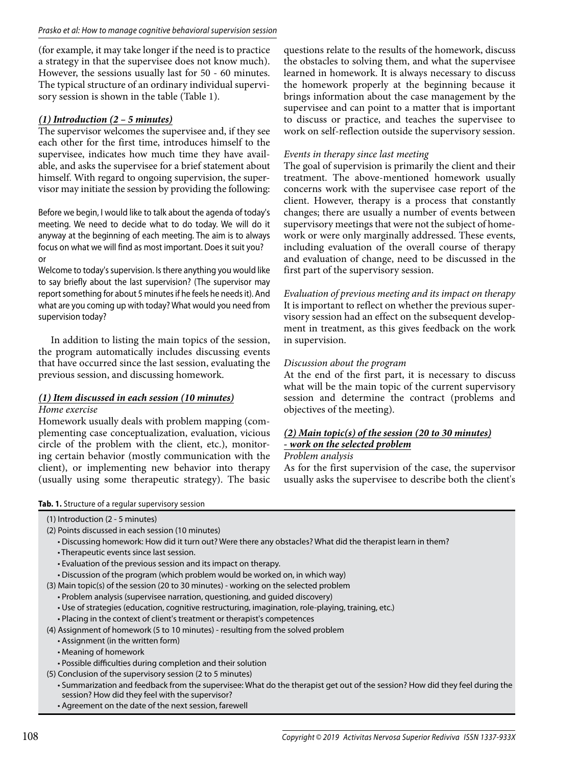(for example, it may take longer if the need is to practice a strategy in that the supervisee does not know much). However, the sessions usually last for 50 - 60 minutes. The typical structure of an ordinary individual supervisory session is shown in the table (Table 1).

# *(1) Introduction (2 – 5 minutes)*

The supervisor welcomes the supervisee and, if they see each other for the first time, introduces himself to the supervisee, indicates how much time they have available, and asks the supervisee for a brief statement about himself. With regard to ongoing supervision, the supervisor may initiate the session by providing the following:

Before we begin, I would like to talk about the agenda of today's meeting. We need to decide what to do today. We will do it anyway at the beginning of each meeting. The aim is to always focus on what we will find as most important. Does it suit you? or

Welcome to today's supervision. Is there anything you would like to say briefly about the last supervision? (The supervisor may report something for about 5 minutes if he feels he needs it). And what are you coming up with today? What would you need from supervision today?

In addition to listing the main topics of the session, the program automatically includes discussing events that have occurred since the last session, evaluating the previous session, and discussing homework.

# *(1) Item discussed in each session (10 minutes)*

*Home exercise*

Homework usually deals with problem mapping (complementing case conceptualization, evaluation, vicious circle of the problem with the client, etc.), monitoring certain behavior (mostly communication with the client), or implementing new behavior into therapy (usually using some therapeutic strategy). The basic

questions relate to the results of the homework, discuss the obstacles to solving them, and what the supervisee learned in homework. It is always necessary to discuss the homework properly at the beginning because it brings information about the case management by the supervisee and can point to a matter that is important to discuss or practice, and teaches the supervisee to work on self-reflection outside the supervisory session.

## *Events in therapy since last meeting*

The goal of supervision is primarily the client and their treatment. The above-mentioned homework usually concerns work with the supervisee case report of the client. However, therapy is a process that constantly changes; there are usually a number of events between supervisory meetings that were not the subject of homework or were only marginally addressed. These events, including evaluation of the overall course of therapy and evaluation of change, need to be discussed in the first part of the supervisory session.

*Evaluation of previous meeting and its impact on therapy* It is important to reflect on whether the previous supervisory session had an effect on the subsequent development in treatment, as this gives feedback on the work in supervision.

# *Discussion about the program*

At the end of the first part, it is necessary to discuss what will be the main topic of the current supervisory session and determine the contract (problems and objectives of the meeting).

# *(2) Main topic(s) of the session (20 to 30 minutes) - work on the selected problem*

#### *Problem analysis*

As for the first supervision of the case, the supervisor usually asks the supervisee to describe both the client's

**Tab. 1.** Structure of a regular supervisory session

- (2) Points discussed in each session (10 minutes)
	- Discussing homework: How did it turn out? Were there any obstacles? What did the therapist learn in them?
	- Therapeutic events since last session.
	- Evaluation of the previous session and its impact on therapy.
	- Discussion of the program (which problem would be worked on, in which way)
- (3) Main topic(s) of the session (20 to 30 minutes) working on the selected problem
	- Problem analysis (supervisee narration, questioning, and guided discovery)
	- Use of strategies (education, cognitive restructuring, imagination, role-playing, training, etc.)
	- Placing in the context of client's treatment or therapist's competences
- (4) Assignment of homework (5 to 10 minutes) resulting from the solved problem
	- Assignment (in the written form)
	- Meaning of homework
	- Possible difficulties during completion and their solution
- (5) Conclusion of the supervisory session (2 to 5 minutes)
	- Summarization and feedback from the supervisee: What do the therapist get out of the session? How did they feel during the session? How did they feel with the supervisor?
	- Agreement on the date of the next session, farewell

<sup>(1)</sup> Introduction (2 - 5 minutes)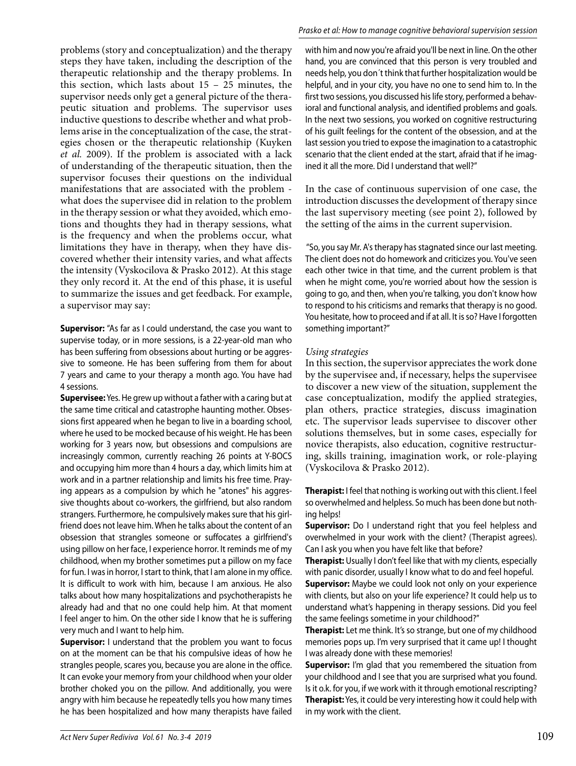problems (story and conceptualization) and the therapy steps they have taken, including the description of the therapeutic relationship and the therapy problems. In this section, which lasts about  $15 - 25$  minutes, the supervisor needs only get a general picture of the therapeutic situation and problems. The supervisor uses inductive questions to describe whether and what problems arise in the conceptualization of the case, the strategies chosen or the therapeutic relationship (Kuyken *et al.* 2009). If the problem is associated with a lack of understanding of the therapeutic situation, then the supervisor focuses their questions on the individual manifestations that are associated with the problem what does the supervisee did in relation to the problem in the therapy session or what they avoided, which emotions and thoughts they had in therapy sessions, what is the frequency and when the problems occur, what limitations they have in therapy, when they have discovered whether their intensity varies, and what affects the intensity (Vyskocilova & Prasko 2012). At this stage they only record it. At the end of this phase, it is useful to summarize the issues and get feedback. For example, a supervisor may say:

**Supervisor:** "As far as I could understand, the case you want to supervise today, or in more sessions, is a 22-year-old man who has been suffering from obsessions about hurting or be aggressive to someone. He has been suffering from them for about 7 years and came to your therapy a month ago. You have had 4 sessions.

**Supervisee:** Yes. He grew up without a father with a caring but at the same time critical and catastrophe haunting mother. Obsessions first appeared when he began to live in a boarding school, where he used to be mocked because of his weight. He has been working for 3 years now, but obsessions and compulsions are increasingly common, currently reaching 26 points at Y-BOCS and occupying him more than 4 hours a day, which limits him at work and in a partner relationship and limits his free time. Praying appears as a compulsion by which he "atones" his aggressive thoughts about co-workers, the girlfriend, but also random strangers. Furthermore, he compulsively makes sure that his girlfriend does not leave him. When he talks about the content of an obsession that strangles someone or suffocates a girlfriend's using pillow on her face, I experience horror. It reminds me of my childhood, when my brother sometimes put a pillow on my face for fun. I was in horror, I start to think, that I am alone in my office. It is difficult to work with him, because I am anxious. He also talks about how many hospitalizations and psychotherapists he already had and that no one could help him. At that moment I feel anger to him. On the other side I know that he is suffering very much and I want to help him.

**Supervisor:** I understand that the problem you want to focus on at the moment can be that his compulsive ideas of how he strangles people, scares you, because you are alone in the office. It can evoke your memory from your childhood when your older brother choked you on the pillow. And additionally, you were angry with him because he repeatedly tells you how many times he has been hospitalized and how many therapists have failed

#### Prasko et al: How to manage cognitive behavioral supervision session

with him and now you're afraid you'll be next in line. On the other hand, you are convinced that this person is very troubled and needs help, you don´t think that further hospitalization would be helpful, and in your city, you have no one to send him to. In the first two sessions, you discussed his life story, performed a behavioral and functional analysis, and identified problems and goals. In the next two sessions, you worked on cognitive restructuring of his guilt feelings for the content of the obsession, and at the last session you tried to expose the imagination to a catastrophic scenario that the client ended at the start, afraid that if he imagined it all the more. Did I understand that well?"

In the case of continuous supervision of one case, the introduction discusses the development of therapy since the last supervisory meeting (see point 2), followed by the setting of the aims in the current supervision.

 "So, you say Mr. A's therapy has stagnated since our last meeting. The client does not do homework and criticizes you. You've seen each other twice in that time, and the current problem is that when he might come, you're worried about how the session is going to go, and then, when you're talking, you don't know how to respond to his criticisms and remarks that therapy is no good. You hesitate, how to proceed and if at all. It is so? Have I forgotten something important?"

#### *Using strategies*

In this section, the supervisor appreciates the work done by the supervisee and, if necessary, helps the supervisee to discover a new view of the situation, supplement the case conceptualization, modify the applied strategies, plan others, practice strategies, discuss imagination etc. The supervisor leads supervisee to discover other solutions themselves, but in some cases, especially for novice therapists, also education, cognitive restructuring, skills training, imagination work, or role-playing (Vyskocilova & Prasko 2012).

**Therapist:** I feel that nothing is working out with this client. I feel so overwhelmed and helpless. So much has been done but nothing helps!

**Supervisor:** Do I understand right that you feel helpless and overwhelmed in your work with the client? (Therapist agrees). Can I ask you when you have felt like that before?

**Therapist:** Usually I don't feel like that with my clients, especially with panic disorder, usually I know what to do and feel hopeful. **Supervisor:** Maybe we could look not only on your experience with clients, but also on your life experience? It could help us to understand what's happening in therapy sessions. Did you feel the same feelings sometime in your childhood?"

**Therapist:** Let me think. It's so strange, but one of my childhood memories pops up. I'm very surprised that it came up! I thought I was already done with these memories!

**Supervisor:** I'm glad that you remembered the situation from your childhood and I see that you are surprised what you found. Is it o.k. for you, if we work with it through emotional rescripting? **Therapist:** Yes, it could be very interesting how it could help with in my work with the client.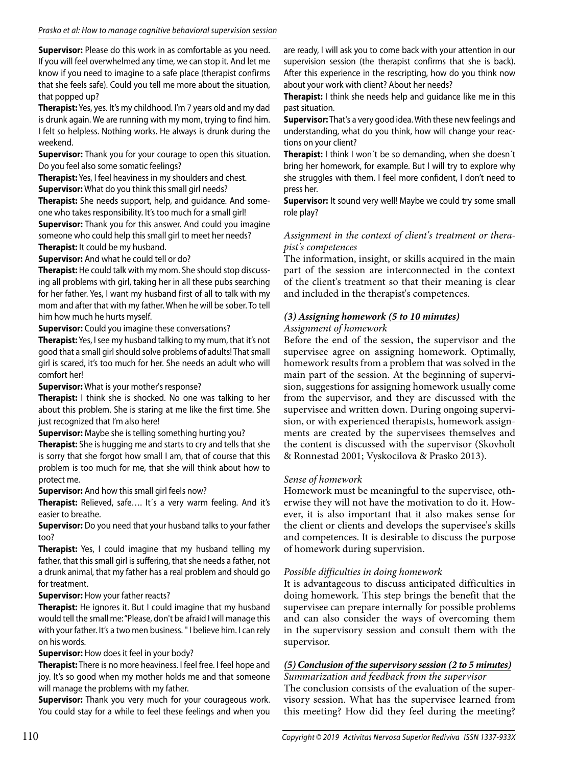**Supervisor:** Please do this work in as comfortable as you need. If you will feel overwhelmed any time, we can stop it. And let me know if you need to imagine to a safe place (therapist confirms that she feels safe). Could you tell me more about the situation, that popped up?

**Therapist:** Yes, yes. It's my childhood. I'm 7 years old and my dad is drunk again. We are running with my mom, trying to find him. I felt so helpless. Nothing works. He always is drunk during the weekend.

**Supervisor:** Thank you for your courage to open this situation. Do you feel also some somatic feelings?

**Therapist:** Yes, I feel heaviness in my shoulders and chest.

**Supervisor:** What do you think this small girl needs?

**Therapist:** She needs support, help, and guidance. And someone who takes responsibility. It's too much for a small girl! **Supervisor:** Thank you for this answer. And could you imagine

someone who could help this small girl to meet her needs? **Therapist:** It could be my husband.

**Supervisor:** And what he could tell or do?

**Therapist:** He could talk with my mom. She should stop discussing all problems with girl, taking her in all these pubs searching for her father. Yes, I want my husband first of all to talk with my mom and after that with my father. When he will be sober. To tell him how much he hurts myself.

**Supervisor:** Could you imagine these conversations?

**Therapist:** Yes, I see my husband talking to my mum, that it's not good that a small girl should solve problems of adults! That small girl is scared, it's too much for her. She needs an adult who will comfort her!

**Supervisor:** What is your mother's response?

**Therapist:** I think she is shocked. No one was talking to her about this problem. She is staring at me like the first time. She just recognized that I'm also here!

**Supervisor:** Maybe she is telling something hurting you?

**Therapist:** She is hugging me and starts to cry and tells that she is sorry that she forgot how small I am, that of course that this problem is too much for me, that she will think about how to protect me.

**Supervisor:** And how this small girl feels now?

**Therapist:** Relieved, safe…. It´s a very warm feeling. And it's easier to breathe.

**Supervisor:** Do you need that your husband talks to your father too?

**Therapist:** Yes, I could imagine that my husband telling my father, that this small girl is suffering, that she needs a father, not a drunk animal, that my father has a real problem and should go for treatment.

## **Supervisor:** How your father reacts?

**Therapist:** He ignores it. But I could imagine that my husband would tell the small me: "Please, don't be afraid I will manage this with your father. It's a two men business. '' I believe him. I can rely on his words.

**Supervisor:** How does it feel in your body?

**Therapist:** There is no more heaviness. I feel free. I feel hope and joy. It's so good when my mother holds me and that someone will manage the problems with my father.

**Supervisor:** Thank you very much for your courageous work. You could stay for a while to feel these feelings and when you

are ready, I will ask you to come back with your attention in our supervision session (the therapist confirms that she is back). After this experience in the rescripting, how do you think now about your work with client? About her needs?

**Therapist:** I think she needs help and guidance like me in this past situation.

**Supervisor:** That's a very good idea. With these new feelings and understanding, what do you think, how will change your reactions on your client?

**Therapist:** I think I won´t be so demanding, when she doesn´t bring her homework, for example. But I will try to explore why she struggles with them. I feel more confident, I don't need to press her.

**Supervisor:** It sound very well! Maybe we could try some small role play?

# *Assignment in the context of client's treatment or therapist's competences*

The information, insight, or skills acquired in the main part of the session are interconnected in the context of the client's treatment so that their meaning is clear and included in the therapist's competences.

# *(3) Assigning homework (5 to 10 minutes)*

# *Assignment of homework*

Before the end of the session, the supervisor and the supervisee agree on assigning homework. Optimally, homework results from a problem that was solved in the main part of the session. At the beginning of supervision, suggestions for assigning homework usually come from the supervisor, and they are discussed with the supervisee and written down. During ongoing supervision, or with experienced therapists, homework assignments are created by the supervisees themselves and the content is discussed with the supervisor (Skovholt & Ronnestad 2001; Vyskocilova & Prasko 2013).

# *Sense of homework*

Homework must be meaningful to the supervisee, otherwise they will not have the motivation to do it. However, it is also important that it also makes sense for the client or clients and develops the supervisee's skills and competences. It is desirable to discuss the purpose of homework during supervision.

# *Possible difficulties in doing homework*

It is advantageous to discuss anticipated difficulties in doing homework. This step brings the benefit that the supervisee can prepare internally for possible problems and can also consider the ways of overcoming them in the supervisory session and consult them with the supervisor.

# *(5) Conclusion of the supervisory session (2 to 5 minutes)*

*Summarization and feedback from the supervisor* The conclusion consists of the evaluation of the supervisory session. What has the supervisee learned from this meeting? How did they feel during the meeting?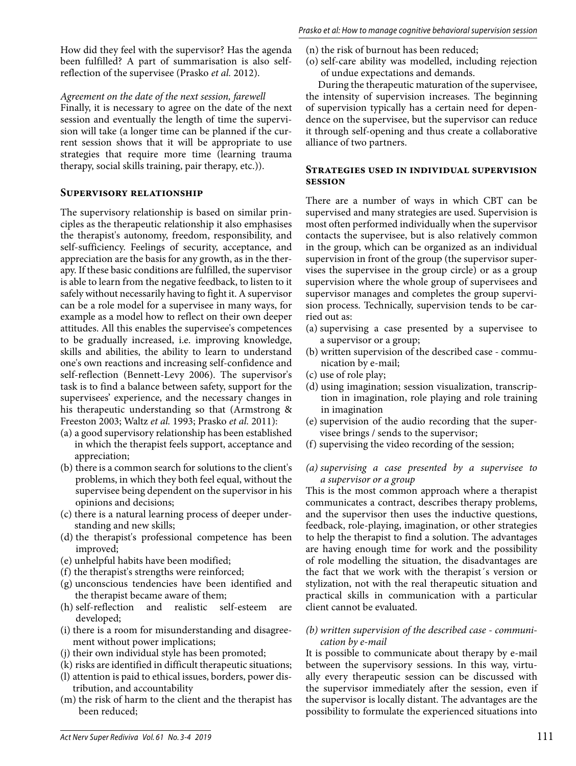How did they feel with the supervisor? Has the agenda been fulfilled? A part of summarisation is also selfreflection of the supervisee (Prasko *et al.* 2012).

*Agreement on the date of the next session, farewell*

Finally, it is necessary to agree on the date of the next session and eventually the length of time the supervision will take (a longer time can be planned if the current session shows that it will be appropriate to use strategies that require more time (learning trauma therapy, social skills training, pair therapy, etc.)).

#### **Supervisory relationship**

The supervisory relationship is based on similar principles as the therapeutic relationship it also emphasises the therapist's autonomy, freedom, responsibility, and self-sufficiency. Feelings of security, acceptance, and appreciation are the basis for any growth, as in the therapy. If these basic conditions are fulfilled, the supervisor is able to learn from the negative feedback, to listen to it safely without necessarily having to fight it. A supervisor can be a role model for a supervisee in many ways, for example as a model how to reflect on their own deeper attitudes. All this enables the supervisee's competences to be gradually increased, i.e. improving knowledge, skills and abilities, the ability to learn to understand one's own reactions and increasing self-confidence and self-reflection (Bennett-Levy 2006). The supervisor's task is to find a balance between safety, support for the supervisees' experience, and the necessary changes in his therapeutic understanding so that (Armstrong & Freeston 2003; Waltz *et al.* 1993; Prasko *et al.* 2011):

- (a) a good supervisory relationship has been established in which the therapist feels support, acceptance and appreciation;
- (b) there is a common search for solutions to the client's problems, in which they both feel equal, without the supervisee being dependent on the supervisor in his opinions and decisions;
- (c) there is a natural learning process of deeper understanding and new skills;
- (d) the therapist's professional competence has been improved;
- (e) unhelpful habits have been modified;
- (f) the therapist's strengths were reinforced;
- (g) unconscious tendencies have been identified and the therapist became aware of them;
- (h) self-reflection and realistic self-esteem are developed;
- (i) there is a room for misunderstanding and disagreement without power implications;
- (j) their own individual style has been promoted;
- (k) risks are identified in difficult therapeutic situations;
- (l) attention is paid to ethical issues, borders, power distribution, and accountability
- (m) the risk of harm to the client and the therapist has been reduced;
- (n) the risk of burnout has been reduced;
- (o) self-care ability was modelled, including rejection of undue expectations and demands.

During the therapeutic maturation of the supervisee, the intensity of supervision increases. The beginning of supervision typically has a certain need for dependence on the supervisee, but the supervisor can reduce it through self-opening and thus create a collaborative alliance of two partners.

#### **Strategies used in individual supervision session**

There are a number of ways in which CBT can be supervised and many strategies are used. Supervision is most often performed individually when the supervisor contacts the supervisee, but is also relatively common in the group, which can be organized as an individual supervision in front of the group (the supervisor supervises the supervisee in the group circle) or as a group supervision where the whole group of supervisees and supervisor manages and completes the group supervision process. Technically, supervision tends to be carried out as:

- (a) supervising a case presented by a supervisee to a supervisor or a group;
- (b) written supervision of the described case communication by e-mail;
- (c) use of role play;
- (d) using imagination; session visualization, transcription in imagination, role playing and role training in imagination
- (e) supervision of the audio recording that the supervisee brings / sends to the supervisor;
- (f) supervising the video recording of the session;

## *(a) supervising a case presented by a supervisee to a supervisor or a group*

This is the most common approach where a therapist communicates a contract, describes therapy problems, and the supervisor then uses the inductive questions, feedback, role-playing, imagination, or other strategies to help the therapist to find a solution. The advantages are having enough time for work and the possibility of role modelling the situation, the disadvantages are the fact that we work with the therapist´s version or stylization, not with the real therapeutic situation and practical skills in communication with a particular client cannot be evaluated.

#### *(b) written supervision of the described case - communication by e-mail*

It is possible to communicate about therapy by e-mail between the supervisory sessions. In this way, virtually every therapeutic session can be discussed with the supervisor immediately after the session, even if the supervisor is locally distant. The advantages are the possibility to formulate the experienced situations into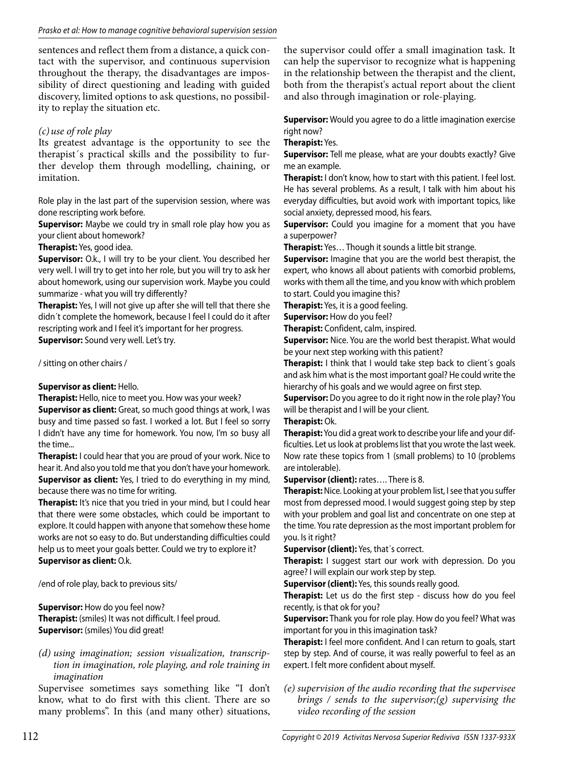sentences and reflect them from a distance, a quick contact with the supervisor, and continuous supervision throughout the therapy, the disadvantages are impossibility of direct questioning and leading with guided discovery, limited options to ask questions, no possibility to replay the situation etc.

# *(c) use of role play*

Its greatest advantage is the opportunity to see the therapist´s practical skills and the possibility to further develop them through modelling, chaining, or imitation.

Role play in the last part of the supervision session, where was done rescripting work before.

**Supervisor:** Maybe we could try in small role play how you as your client about homework?

#### **Therapist:** Yes, good idea.

**Supervisor:** O.k., I will try to be your client. You described her very well. I will try to get into her role, but you will try to ask her about homework, using our supervision work. Maybe you could summarize - what you will try differently?

**Therapist:** Yes, I will not give up after she will tell that there she didn´t complete the homework, because I feel I could do it after rescripting work and I feel it's important for her progress. **Supervisor:** Sound very well. Let's try.

/ sitting on other chairs /

## **Supervisor as client:** Hello.

**Therapist:** Hello, nice to meet you. How was your week?

**Supervisor as client:** Great, so much good things at work, I was busy and time passed so fast. I worked a lot. But I feel so sorry I didn't have any time for homework. You now, I'm so busy all the time...

**Therapist:** I could hear that you are proud of your work. Nice to hear it. And also you told me that you don't have your homework. **Supervisor as client:** Yes, I tried to do everything in my mind, because there was no time for writing.

**Therapist:** It's nice that you tried in your mind, but I could hear that there were some obstacles, which could be important to explore. It could happen with anyone that somehow these home works are not so easy to do. But understanding difficulties could help us to meet your goals better. Could we try to explore it? **Supervisor as client:** O.k.

/end of role play, back to previous sits/

**Supervisor:** How do you feel now? **Therapist:** (smiles) It was not difficult. I feel proud. **Supervisor:** (smiles) You did great!

#### *(d) using imagination; session visualization, transcription in imagination, role playing, and role training in imagination*

Supervisee sometimes says something like "I don't know, what to do first with this client. There are so many problems". In this (and many other) situations,

the supervisor could offer a small imagination task. It can help the supervisor to recognize what is happening in the relationship between the therapist and the client, both from the therapist's actual report about the client and also through imagination or role-playing.

**Supervisor:** Would you agree to do a little imagination exercise right now?

## **Therapist:** Yes.

**Supervisor:** Tell me please, what are your doubts exactly? Give me an example.

**Therapist:** I don't know, how to start with this patient. I feel lost. He has several problems. As a result, I talk with him about his everyday difficulties, but avoid work with important topics, like social anxiety, depressed mood, his fears.

**Supervisor:** Could you imagine for a moment that you have a superpower?

**Therapist:** Yes… Though it sounds a little bit strange.

**Supervisor:** Imagine that you are the world best therapist, the expert, who knows all about patients with comorbid problems, works with them all the time, and you know with which problem to start. Could you imagine this?

**Therapist:** Yes, it is a good feeling.

**Supervisor:** How do you feel?

**Therapist:** Confident, calm, inspired.

**Supervisor:** Nice. You are the world best therapist. What would be your next step working with this patient?

**Therapist:** I think that I would take step back to client´s goals and ask him what is the most important goal? He could write the hierarchy of his goals and we would agree on first step.

**Supervisor:** Do you agree to do it right now in the role play? You will be therapist and I will be your client.

## **Therapist:** Ok.

**Therapist:** You did a great work to describe your life and your difficulties. Let us look at problems list that you wrote the last week. Now rate these topics from 1 (small problems) to 10 (problems are intolerable).

**Supervisor (client):** rates…. There is 8.

**Therapist:** Nice. Looking at your problem list, I see that you suffer most from depressed mood. I would suggest going step by step with your problem and goal list and concentrate on one step at the time. You rate depression as the most important problem for you. Is it right?

**Supervisor (client):** Yes, that´s correct.

**Therapist:** I suggest start our work with depression. Do you agree? I will explain our work step by step.

**Supervisor (client):** Yes, this sounds really good.

**Therapist:** Let us do the first step - discuss how do you feel recently, is that ok for you?

**Supervisor:** Thank you for role play. How do you feel? What was important for you in this imagination task?

**Therapist:** I feel more confident. And I can return to goals, start step by step. And of course, it was really powerful to feel as an expert. I felt more confident about myself.

*(e) supervision of the audio recording that the supervisee brings / sends to the supervisor;(g) supervising the video recording of the session*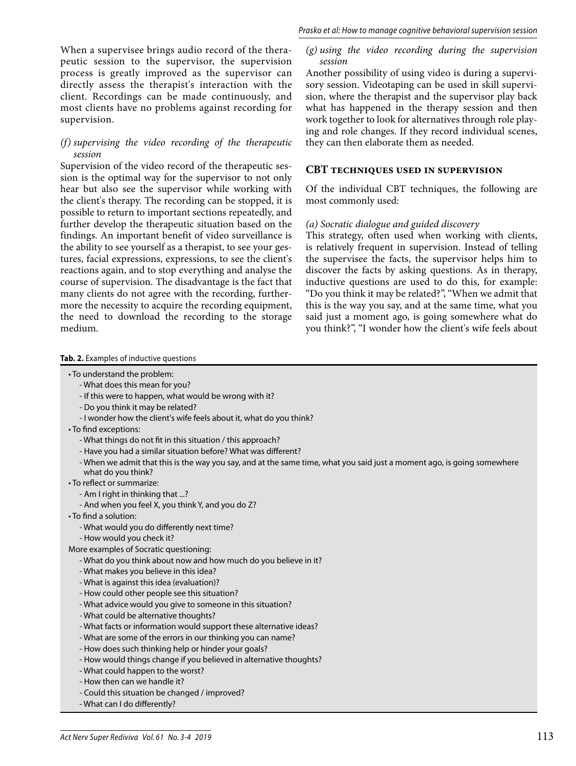When a supervisee brings audio record of the therapeutic session to the supervisor, the supervision process is greatly improved as the supervisor can directly assess the therapist's interaction with the client. Recordings can be made continuously, and most clients have no problems against recording for supervision.

#### *(f) supervising the video recording of the therapeutic session*

Supervision of the video record of the therapeutic session is the optimal way for the supervisor to not only hear but also see the supervisor while working with the client's therapy. The recording can be stopped, it is possible to return to important sections repeatedly, and further develop the therapeutic situation based on the findings. An important benefit of video surveillance is the ability to see yourself as a therapist, to see your gestures, facial expressions, expressions, to see the client's reactions again, and to stop everything and analyse the course of supervision. The disadvantage is the fact that many clients do not agree with the recording, furthermore the necessity to acquire the recording equipment, the need to download the recording to the storage medium.

#### **Tab. 2.** Examples of inductive questions

- To understand the problem:
	- What does this mean for you?
	- If this were to happen, what would be wrong with it?
	- Do you think it may be related?
	- I wonder how the client's wife feels about it, what do you think?
- To find exceptions:
	- What things do not fit in this situation / this approach?
	- Have you had a similar situation before? What was different?
	- When we admit that this is the way you say, and at the same time, what you said just a moment ago, is going somewhere what do you think?
- To reflect or summarize:
	- Am I right in thinking that ...?
	- And when you feel X, you think Y, and you do Z?
- To find a solution:
	- What would you do differently next time?
	- How would you check it?
- More examples of Socratic questioning:
	- What do you think about now and how much do you believe in it?
	- What makes you believe in this idea?
	- What is against this idea (evaluation)?
	- How could other people see this situation?
	- What advice would you give to someone in this situation?
	- What could be alternative thoughts?
	- What facts or information would support these alternative ideas?
	- What are some of the errors in our thinking you can name?
	- How does such thinking help or hinder your goals?
	- How would things change if you believed in alternative thoughts?
	- What could happen to the worst?
	- How then can we handle it?
	- Could this situation be changed / improved?
	- What can I do differently?

#### *(g) using the video recording during the supervision session*

Another possibility of using video is during a supervisory session. Videotaping can be used in skill supervision, where the therapist and the supervisor play back what has happened in the therapy session and then work together to look for alternatives through role playing and role changes. If they record individual scenes, they can then elaborate them as needed.

#### **CBT techniques used in supervision**

Of the individual CBT techniques, the following are most commonly used:

#### *(a) Socratic dialogue and guided discovery*

This strategy, often used when working with clients, is relatively frequent in supervision. Instead of telling the supervisee the facts, the supervisor helps him to discover the facts by asking questions. As in therapy, inductive questions are used to do this, for example: "Do you think it may be related?", "When we admit that this is the way you say, and at the same time, what you said just a moment ago, is going somewhere what do you think?", "I wonder how the client's wife feels about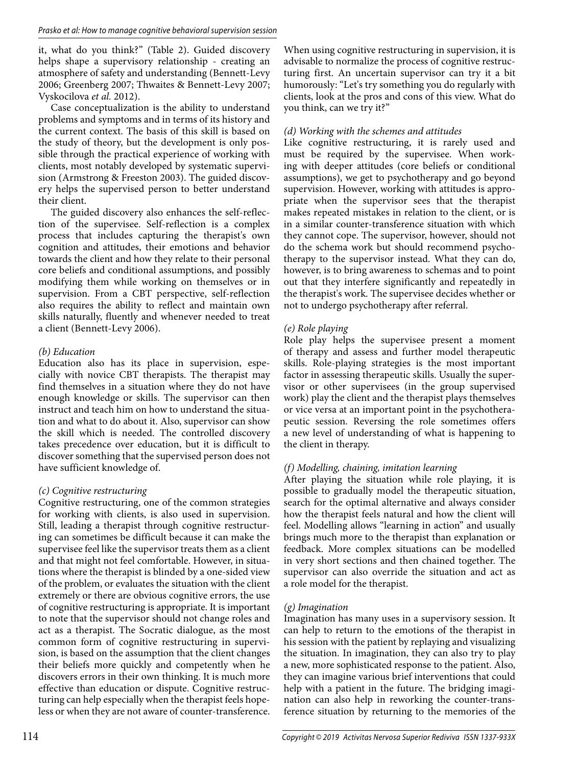it, what do you think?" (Table 2). Guided discovery helps shape a supervisory relationship - creating an atmosphere of safety and understanding (Bennett-Levy 2006; Greenberg 2007; Thwaites & Bennett-Levy 2007; Vyskocilova *et al.* 2012).

Case conceptualization is the ability to understand problems and symptoms and in terms of its history and the current context. The basis of this skill is based on the study of theory, but the development is only possible through the practical experience of working with clients, most notably developed by systematic supervision (Armstrong & Freeston 2003). The guided discovery helps the supervised person to better understand their client.

The guided discovery also enhances the self-reflection of the supervisee. Self-reflection is a complex process that includes capturing the therapist's own cognition and attitudes, their emotions and behavior towards the client and how they relate to their personal core beliefs and conditional assumptions, and possibly modifying them while working on themselves or in supervision. From a CBT perspective, self-reflection also requires the ability to reflect and maintain own skills naturally, fluently and whenever needed to treat a client (Bennett-Levy 2006).

# *(b) Education*

Education also has its place in supervision, especially with novice CBT therapists. The therapist may find themselves in a situation where they do not have enough knowledge or skills. The supervisor can then instruct and teach him on how to understand the situation and what to do about it. Also, supervisor can show the skill which is needed. The controlled discovery takes precedence over education, but it is difficult to discover something that the supervised person does not have sufficient knowledge of.

## *(c) Cognitive restructuring*

Cognitive restructuring, one of the common strategies for working with clients, is also used in supervision. Still, leading a therapist through cognitive restructuring can sometimes be difficult because it can make the supervisee feel like the supervisor treats them as a client and that might not feel comfortable. However, in situations where the therapist is blinded by a one-sided view of the problem, or evaluates the situation with the client extremely or there are obvious cognitive errors, the use of cognitive restructuring is appropriate. It is important to note that the supervisor should not change roles and act as a therapist. The Socratic dialogue, as the most common form of cognitive restructuring in supervision, is based on the assumption that the client changes their beliefs more quickly and competently when he discovers errors in their own thinking. It is much more effective than education or dispute. Cognitive restructuring can help especially when the therapist feels hopeless or when they are not aware of counter-transference.

When using cognitive restructuring in supervision, it is advisable to normalize the process of cognitive restructuring first. An uncertain supervisor can try it a bit humorously: "Let's try something you do regularly with clients, look at the pros and cons of this view. What do you think, can we try it?"

# *(d) Working with the schemes and attitudes*

Like cognitive restructuring, it is rarely used and must be required by the supervisee. When working with deeper attitudes (core beliefs or conditional assumptions), we get to psychotherapy and go beyond supervision. However, working with attitudes is appropriate when the supervisor sees that the therapist makes repeated mistakes in relation to the client, or is in a similar counter-transference situation with which they cannot cope. The supervisor, however, should not do the schema work but should recommend psychotherapy to the supervisor instead. What they can do, however, is to bring awareness to schemas and to point out that they interfere significantly and repeatedly in the therapist's work. The supervisee decides whether or not to undergo psychotherapy after referral.

## *(e) Role playing*

Role play helps the supervisee present a moment of therapy and assess and further model therapeutic skills. Role-playing strategies is the most important factor in assessing therapeutic skills. Usually the supervisor or other supervisees (in the group supervised work) play the client and the therapist plays themselves or vice versa at an important point in the psychotherapeutic session. Reversing the role sometimes offers a new level of understanding of what is happening to the client in therapy.

# *(f) Modelling, chaining, imitation learning*

After playing the situation while role playing, it is possible to gradually model the therapeutic situation, search for the optimal alternative and always consider how the therapist feels natural and how the client will feel. Modelling allows "learning in action" and usually brings much more to the therapist than explanation or feedback. More complex situations can be modelled in very short sections and then chained together. The supervisor can also override the situation and act as a role model for the therapist.

# *(g) Imagination*

Imagination has many uses in a supervisory session. It can help to return to the emotions of the therapist in his session with the patient by replaying and visualizing the situation. In imagination, they can also try to play a new, more sophisticated response to the patient. Also, they can imagine various brief interventions that could help with a patient in the future. The bridging imagination can also help in reworking the counter-transference situation by returning to the memories of the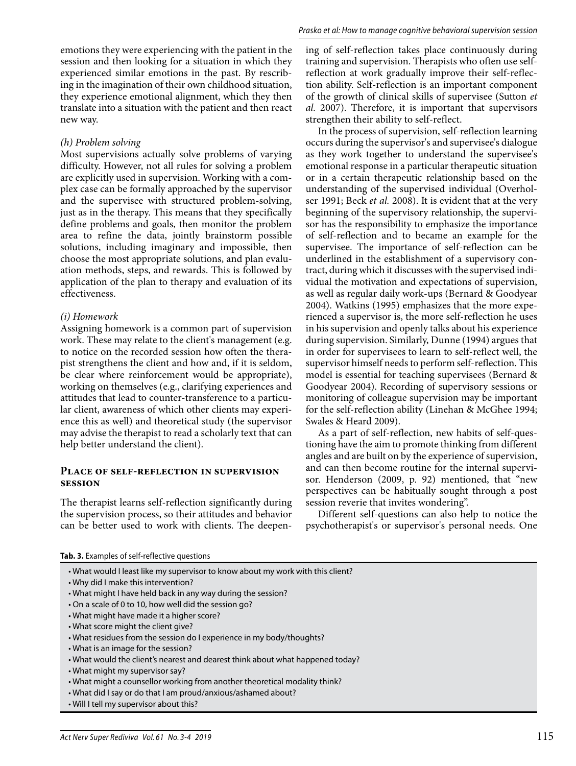emotions they were experiencing with the patient in the session and then looking for a situation in which they experienced similar emotions in the past. By rescribing in the imagination of their own childhood situation, they experience emotional alignment, which they then translate into a situation with the patient and then react new way.

#### *(h) Problem solving*

Most supervisions actually solve problems of varying difficulty. However, not all rules for solving a problem are explicitly used in supervision. Working with a complex case can be formally approached by the supervisor and the supervisee with structured problem-solving, just as in the therapy. This means that they specifically define problems and goals, then monitor the problem area to refine the data, jointly brainstorm possible solutions, including imaginary and impossible, then choose the most appropriate solutions, and plan evaluation methods, steps, and rewards. This is followed by application of the plan to therapy and evaluation of its effectiveness.

#### *(i) Homework*

Assigning homework is a common part of supervision work. These may relate to the client's management (e.g. to notice on the recorded session how often the therapist strengthens the client and how and, if it is seldom, be clear where reinforcement would be appropriate), working on themselves (e.g., clarifying experiences and attitudes that lead to counter-transference to a particular client, awareness of which other clients may experience this as well) and theoretical study (the supervisor may advise the therapist to read a scholarly text that can help better understand the client).

#### **Place of self-reflection in supervision session**

The therapist learns self-reflection significantly during the supervision process, so their attitudes and behavior can be better used to work with clients. The deepening of self-reflection takes place continuously during training and supervision. Therapists who often use selfreflection at work gradually improve their self-reflection ability. Self-reflection is an important component of the growth of clinical skills of supervisee (Sutton *et al.* 2007). Therefore, it is important that supervisors strengthen their ability to self-reflect.

In the process of supervision, self-reflection learning occurs during the supervisor's and supervisee's dialogue as they work together to understand the supervisee's emotional response in a particular therapeutic situation or in a certain therapeutic relationship based on the understanding of the supervised individual (Overholser 1991; Beck *et al.* 2008). It is evident that at the very beginning of the supervisory relationship, the supervisor has the responsibility to emphasize the importance of self-reflection and to became an example for the supervisee. The importance of self-reflection can be underlined in the establishment of a supervisory contract, during which it discusses with the supervised individual the motivation and expectations of supervision, as well as regular daily work-ups (Bernard & Goodyear 2004). Watkins (1995) emphasizes that the more experienced a supervisor is, the more self-reflection he uses in his supervision and openly talks about his experience during supervision. Similarly, Dunne (1994) argues that in order for supervisees to learn to self-reflect well, the supervisor himself needs to perform self-reflection. This model is essential for teaching supervisees (Bernard & Goodyear 2004). Recording of supervisory sessions or monitoring of colleague supervision may be important for the self-reflection ability (Linehan & McGhee 1994; Swales & Heard 2009).

As a part of self-reflection, new habits of self-questioning have the aim to promote thinking from different angles and are built on by the experience of supervision, and can then become routine for the internal supervisor. Henderson (2009, p. 92) mentioned, that "new perspectives can be habitually sought through a post session reverie that invites wondering".

Different self-questions can also help to notice the psychotherapist's or supervisor's personal needs. One

**Tab. 3.** Examples of self-reflective questions

- Why did I make this intervention?
- What might I have held back in any way during the session?
- On a scale of 0 to 10, how well did the session go?
- What might have made it a higher score?
- What score might the client give?
- What residues from the session do I experience in my body/thoughts?
- What is an image for the session?
- What would the client's nearest and dearest think about what happened today?
- What might my supervisor say?
- What might a counsellor working from another theoretical modality think?
- What did I say or do that I am proud/anxious/ashamed about?
- Will I tell my supervisor about this?